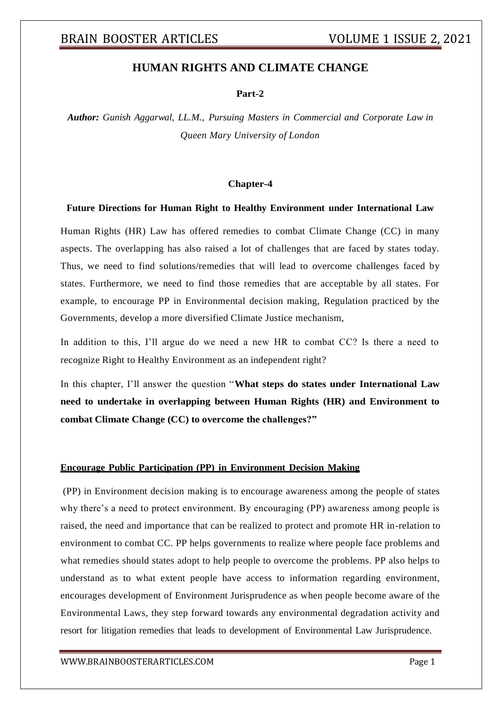### **HUMAN RIGHTS AND CLIMATE CHANGE**

#### **Part-2**

*Author: Gunish Aggarwal, LL.M., Pursuing Masters in Commercial and Corporate Law in Queen Mary University of London*

#### **Chapter-4**

#### **Future Directions for Human Right to Healthy Environment under International Law**

Human Rights (HR) Law has offered remedies to combat Climate Change (CC) in many aspects. The overlapping has also raised a lot of challenges that are faced by states today. Thus, we need to find solutions/remedies that will lead to overcome challenges faced by states. Furthermore, we need to find those remedies that are acceptable by all states. For example, to encourage PP in Environmental decision making, Regulation practiced by the Governments, develop a more diversified Climate Justice mechanism,

In addition to this, I'll argue do we need a new HR to combat CC? Is there a need to recognize Right to Healthy Environment as an independent right?

In this chapter, I'll answer the question "**What steps do states under International Law need to undertake in overlapping between Human Rights (HR) and Environment to combat Climate Change (CC) to overcome the challenges?"**

#### **Encourage Public Participation (PP) in Environment Decision Making**

(PP) in Environment decision making is to encourage awareness among the people of states why there's a need to protect environment. By encouraging (PP) awareness among people is raised, the need and importance that can be realized to protect and promote HR in-relation to environment to combat CC. PP helps governments to realize where people face problems and what remedies should states adopt to help people to overcome the problems. PP also helps to understand as to what extent people have access to information regarding environment, encourages development of Environment Jurisprudence as when people become aware of the Environmental Laws, they step forward towards any environmental degradation activity and resort for litigation remedies that leads to development of Environmental Law Jurisprudence.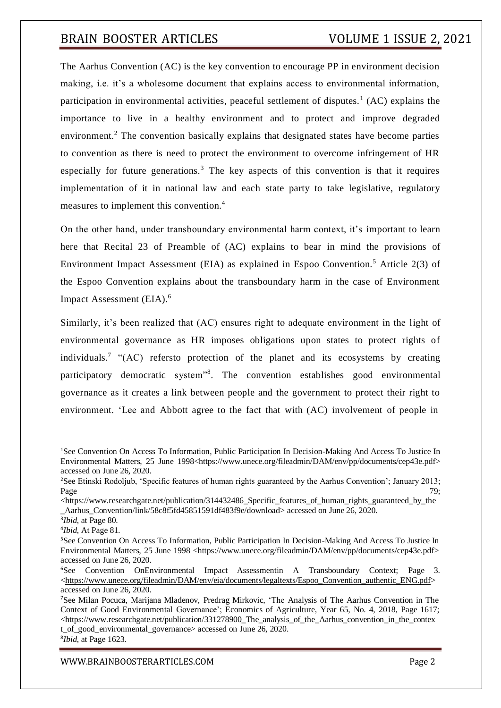The Aarhus Convention (AC) is the key convention to encourage PP in environment decision making, i.e. it's a wholesome document that explains access to environmental information, participation in environmental activities, peaceful settlement of disputes.<sup>1</sup> (AC) explains the importance to live in a healthy environment and to protect and improve degraded environment.<sup>2</sup> The convention basically explains that designated states have become parties to convention as there is need to protect the environment to overcome infringement of HR especially for future generations.<sup>3</sup> The key aspects of this convention is that it requires implementation of it in national law and each state party to take legislative, regulatory measures to implement this convention.<sup>4</sup>

On the other hand, under transboundary environmental harm context, it's important to learn here that Recital 23 of Preamble of (AC) explains to bear in mind the provisions of Environment Impact Assessment (EIA) as explained in Espoo Convention.<sup>5</sup> Article 2(3) of the Espoo Convention explains about the transboundary harm in the case of Environment Impact Assessment (EIA).<sup>6</sup>

Similarly, it's been realized that (AC) ensures right to adequate environment in the light of environmental governance as HR imposes obligations upon states to protect rights of individuals.<sup>7</sup> "(AC) refersto protection of the planet and its ecosystems by creating participatory democratic system"<sup>8</sup>. The convention establishes good environmental governance as it creates a link between people and the government to protect their right to environment. 'Lee and Abbott agree to the fact that with (AC) involvement of people in

<sup>&</sup>lt;sup>1</sup>See Convention On Access To Information, Public Participation In Decision-Making And Access To Justice In Environmental Matters, 25 June 1998<https:/[/www.unece.org/fileadmin/DAM/env/pp/documents/cep43e.pdf>](http://www.unece.org/fileadmin/DAM/env/pp/documents/cep43e.pdf) accessed on June 26, 2020.

<sup>2</sup>See Etinski Rodoljub, 'Specific features of human rights guaranteed by the Aarhus Convention'; January 2013; Page 29; and the contract of the contract of the contract of the contract of the contract of the contract of the contract of the contract of the contract of the contract of the contract of the contract of the contract of t

 $\lt$ https://www.researchgate.net/publication/314432486 Specific features of human rights guaranteed by the \_Aarhus\_Convention/link/58c8f5fd45851591df483f9e/download> accessed on June 26, 2020.

<sup>3</sup> *Ibid*, at Page 80.

<sup>4</sup> *Ibid*, At Page 81.

<sup>5</sup>See Convention On Access To Information, Public Participation In Decision-Making And Access To Justice In Environmental Matters, 25 June 1998 <https:/[/www.unece.org/fileadmin/DAM/env/pp/documents/cep43e.pdf>](http://www.unece.org/fileadmin/DAM/env/pp/documents/cep43e.pdf) accessed on June 26, 2020.

<sup>6</sup>See Convention OnEnvironmental Impact Assessmentin A Transboundary Context; Page 3.  $\langle$ https://www.unece.org/fileadmin/DAM/env/eia/documents/legaltexts/Espoo\_Convention\_authentic\_ENG.pdf> accessed on June 26, 2020.

<sup>7</sup>See Milan Pocuca, Marijana Mladenov, Predrag Mirkovic, 'The Analysis of The Aarhus Convention in The Context of Good Environmental Governance'; Economics of Agriculture, Year 65, No. 4, 2018, Page 1617;  $\lt$ https:/[/www.researchgate.net/publication/331278900\\_The\\_analysis\\_of\\_the\\_Aarhus\\_convention\\_in\\_the\\_contex](http://www.researchgate.net/publication/331278900_The_analysis_of_the_Aarhus_convention_in_the_contex) t\_of\_good\_environmental\_governance> accessed on June 26, 2020. 8 *Ibid*, at Page 1623.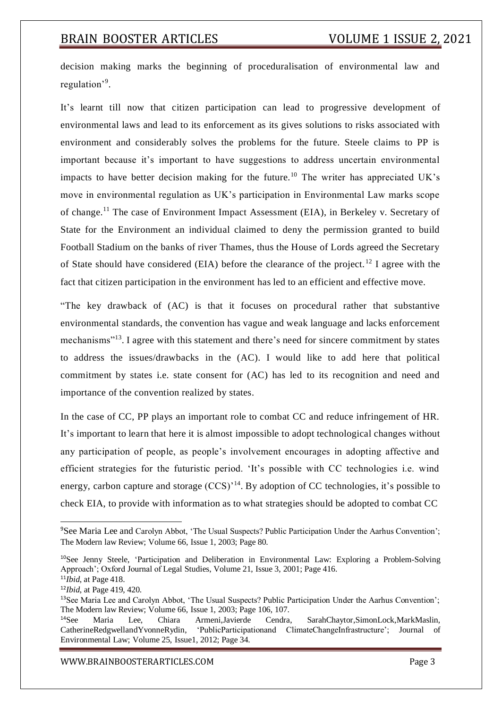decision making marks the beginning of proceduralisation of environmental law and regulation'<sup>9</sup> .

It's learnt till now that citizen participation can lead to progressive development of environmental laws and lead to its enforcement as its gives solutions to risks associated with environment and considerably solves the problems for the future. Steele claims to PP is important because it's important to have suggestions to address uncertain environmental impacts to have better decision making for the future.<sup>10</sup> The writer has appreciated UK's move in environmental regulation as UK's participation in Environmental Law marks scope of change.<sup>11</sup> The case of Environment Impact Assessment (EIA), in Berkeley v. Secretary of State for the Environment an individual claimed to deny the permission granted to build Football Stadium on the banks of river Thames, thus the House of Lords agreed the Secretary of State should have considered (EIA) before the clearance of the project.<sup>12</sup> I agree with the fact that citizen participation in the environment has led to an efficient and effective move.

"The key drawback of (AC) is that it focuses on procedural rather that substantive environmental standards, the convention has vague and weak language and lacks enforcement mechanisms"<sup>13</sup>. I agree with this statement and there's need for sincere commitment by states to address the issues/drawbacks in the (AC). I would like to add here that political commitment by states i.e. state consent for (AC) has led to its recognition and need and importance of the convention realized by states.

In the case of CC, PP plays an important role to combat CC and reduce infringement of HR. It's important to learn that here it is almost impossible to adopt technological changes without any participation of people, as people's involvement encourages in adopting affective and efficient strategies for the futuristic period. 'It's possible with CC technologies i.e. wind energy, carbon capture and storage  $(CCS)^{14}$ . By adoption of CC technologies, it's possible to check EIA, to provide with information as to what strategies should be adopted to combat CC

<sup>9</sup>See Maria Lee and Carolyn Abbot, 'The Usual Suspects? Public Participation Under the Aarhus Convention'; The Modern law Review; Volume 66, Issue 1, 2003; Page 80.

<sup>&</sup>lt;sup>10</sup>See Jenny Steele, 'Participation and Deliberation in Environmental Law: Exploring a Problem-Solving Approach'; Oxford Journal of Legal Studies, Volume 21, Issue 3, 2001; Page 416.

<sup>11</sup>*Ibid*, at Page 418.

<sup>12</sup>*Ibid*, at Page 419, 420.

<sup>&</sup>lt;sup>13</sup>See Maria Lee and Carolyn Abbot, 'The Usual Suspects? Public Participation Under the Aarhus Convention'; The Modern law Review; Volume 66, Issue 1, 2003; Page 106, 107.

<sup>14</sup>See Maria Lee, Chiara Armeni,Javierde Cendra, SarahChaytor,SimonLock,MarkMaslin, CatherineRedgwellandYvonneRydin, 'PublicParticipationand ClimateChangeInfrastructure'; Journal of Environmental Law; Volume 25, Issue1, 2012; Page 34.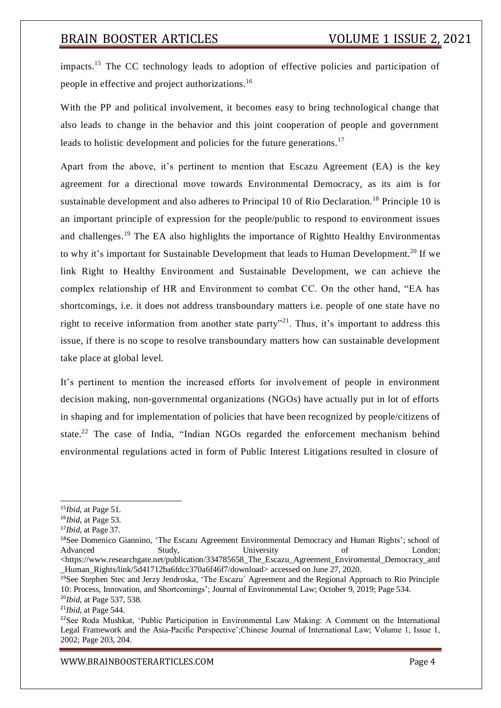impacts.<sup>15</sup> The CC technology leads to adoption of effective policies and participation of people in effective and project authorizations.<sup>16</sup>

With the PP and political involvement, it becomes easy to bring technological change that also leads to change in the behavior and this joint cooperation of people and government leads to holistic development and policies for the future generations.<sup>17</sup>

Apart from the above, it's pertinent to mention that Escazu Agreement (EA) is the key agreement for a directional move towards Environmental Democracy, as its aim is for sustainable development and also adheres to Principal 10 of Rio Declaration.<sup>18</sup> Principle 10 is an important principle of expression for the people/public to respond to environment issues and challenges.<sup>19</sup> The EA also highlights the importance of Rightto Healthy Environmentas to why it's important for Sustainable Development that leads to Human Development.<sup>20</sup> If we link Right to Healthy Environment and Sustainable Development, we can achieve the complex relationship of HR and Environment to combat CC. On the other hand, "EA has shortcomings, i.e. it does not address transboundary matters i.e. people of one state have no right to receive information from another state party"<sup>21</sup>. Thus, it's important to address this issue, if there is no scope to resolve transboundary matters how can sustainable development take place at global level.

It's pertinent to mention the increased efforts for involvement of people in environment decision making, non-governmental organizations (NGOs) have actually put in lot of efforts in shaping and for implementation of policies that have been recognized by people/citizens of state.<sup>22</sup> The case of India, "Indian NGOs regarded the enforcement mechanism behind environmental regulations acted in form of Public Interest Litigations resulted in closure of

<sup>15</sup>*Ibid*, at Page 51.

<sup>16</sup>*Ibid*, at Page 53.

<sup>17</sup>*Ibid*, at Page 37.

<sup>&</sup>lt;sup>18</sup>See Domenico Giannino, 'The Escazu Agreement Environmental Democracy and Human Rights'; school of Advanced Study, University of London; <https:/[/www.researchgate.net/publication/334785658\\_The\\_Escazu\\_Agreement\\_Enviromental\\_Democracy\\_and](http://www.researchgate.net/publication/334785658_The_Escazu_Agreement_Enviromental_Democracy_and) Human\_Rights/link/5d41712ba6fdcc370a6f46f7/download> accessed on June 27, 2020.

<sup>&</sup>lt;sup>19</sup>See Stephen Stec and Jerzy Jendroska, 'The Escazu' Agreement and the Regional Approach to Rio Principle 10: Process, Innovation, and Shortcomings'; Journal of Environmental Law; October 9, 2019; Page 534. <sup>20</sup>*Ibid*, at Page 537, 538.

<sup>21</sup>*Ibid*, at Page 544.

<sup>22</sup>See Roda Mushkat, 'Public Participation in Environmental Law Making: A Comment on the International Legal Framework and the Asia-Pacific Perspective';Chinese Journal of International Law; Volume 1, Issue 1, 2002; Page 203, 204.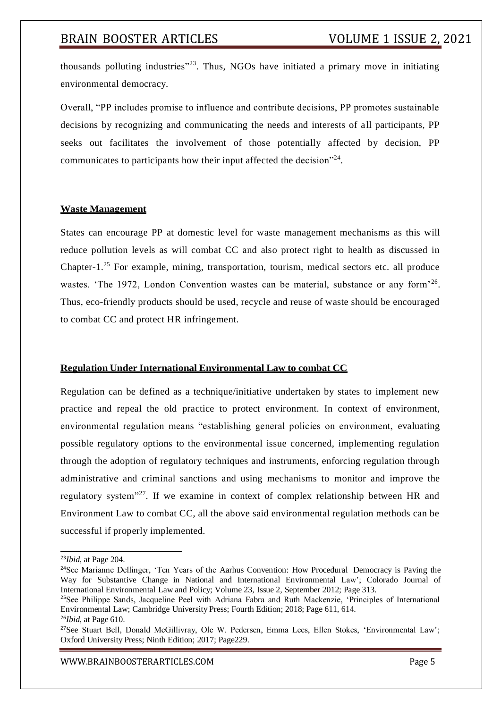thousands polluting industries"<sup>23</sup>. Thus, NGOs have initiated a primary move in initiating environmental democracy.

Overall, "PP includes promise to influence and contribute decisions, PP promotes sustainable decisions by recognizing and communicating the needs and interests of all participants, PP seeks out facilitates the involvement of those potentially affected by decision, PP communicates to participants how their input affected the decision $"^{24}$ .

### **Waste Management**

States can encourage PP at domestic level for waste management mechanisms as this will reduce pollution levels as will combat CC and also protect right to health as discussed in Chapter-1.<sup>25</sup> For example, mining, transportation, tourism, medical sectors etc. all produce wastes. 'The 1972, London Convention wastes can be material, substance or any form'<sup>26</sup>. Thus, eco-friendly products should be used, recycle and reuse of waste should be encouraged to combat CC and protect HR infringement.

### **Regulation Under International Environmental Law to combat CC**

Regulation can be defined as a technique/initiative undertaken by states to implement new practice and repeal the old practice to protect environment. In context of environment, environmental regulation means "establishing general policies on environment, evaluating possible regulatory options to the environmental issue concerned, implementing regulation through the adoption of regulatory techniques and instruments, enforcing regulation through administrative and criminal sanctions and using mechanisms to monitor and improve the regulatory system"<sup>27</sup>. If we examine in context of complex relationship between HR and Environment Law to combat CC, all the above said environmental regulation methods can be successful if properly implemented.

<sup>23</sup>*Ibid*, at Page 204.

<sup>&</sup>lt;sup>24</sup>See Marianne Dellinger, 'Ten Years of the Aarhus Convention: How Procedural Democracy is Paving the Way for Substantive Change in National and International Environmental Law'; Colorado Journal of International Environmental Law and Policy; Volume 23, Issue 2, September 2012; Page 313.

<sup>&</sup>lt;sup>25</sup>See Philippe Sands, Jacqueline Peel with Adriana Fabra and Ruth Mackenzie, 'Principles of International Environmental Law; Cambridge University Press; Fourth Edition; 2018; Page 611, 614.

<sup>26</sup>*Ibid*, at Page 610.

<sup>&</sup>lt;sup>27</sup>See Stuart Bell, Donald McGillivray, Ole W. Pedersen, Emma Lees, Ellen Stokes, 'Environmental Law'; Oxford University Press; Ninth Edition; 2017; Page229.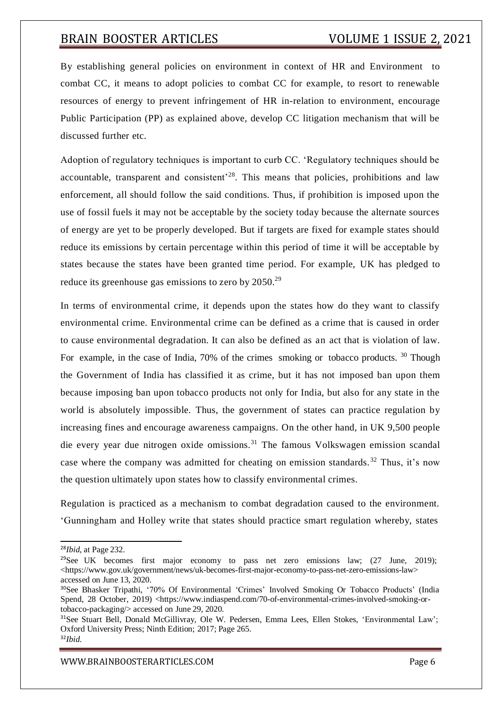By establishing general policies on environment in context of HR and Environment to combat CC, it means to adopt policies to combat CC for example, to resort to renewable resources of energy to prevent infringement of HR in-relation to environment, encourage Public Participation (PP) as explained above, develop CC litigation mechanism that will be discussed further etc.

Adoption of regulatory techniques is important to curb CC. 'Regulatory techniques should be accountable, transparent and consistent<sup>28</sup>. This means that policies, prohibitions and law enforcement, all should follow the said conditions. Thus, if prohibition is imposed upon the use of fossil fuels it may not be acceptable by the society today because the alternate sources of energy are yet to be properly developed. But if targets are fixed for example states should reduce its emissions by certain percentage within this period of time it will be acceptable by states because the states have been granted time period. For example, UK has pledged to reduce its greenhouse gas emissions to zero by 2050.<sup>29</sup>

In terms of environmental crime, it depends upon the states how do they want to classify environmental crime. Environmental crime can be defined as a crime that is caused in order to cause environmental degradation. It can also be defined as an act that is violation of law. For example, in the case of India, 70% of the crimes smoking or tobacco products. <sup>30</sup> Though the Government of India has classified it as crime, but it has not imposed ban upon them because imposing ban upon tobacco products not only for India, but also for any state in the world is absolutely impossible. Thus, the government of states can practice regulation by increasing fines and encourage awareness campaigns. On the other hand, in UK 9,500 people die every year due nitrogen oxide omissions.<sup>31</sup> The famous Volkswagen emission scandal case where the company was admitted for cheating on emission standards. <sup>32</sup> Thus, it's now the question ultimately upon states how to classify environmental crimes.

Regulation is practiced as a mechanism to combat degradation caused to the environment. 'Gunningham and Holley write that states should practice smart regulation whereby, states

<sup>28</sup>*Ibid*, at Page 232.

<sup>&</sup>lt;sup>29</sup>See UK becomes first major economy to pass net zero emissions law; (27 June, 2019); <https:/[/www.gov.uk/government/news/uk-becomes-first-major-economy-to-pass-net-zero-emissions-law>](http://www.gov.uk/government/news/uk-becomes-first-major-economy-to-pass-net-zero-emissions-law) accessed on June 13, 2020.

<sup>30</sup>See Bhasker Tripathi, '70% Of Environmental 'Crimes' Involved Smoking Or Tobacco Products' (India Spend, 28 October, 2019) <https:/[/www.indiaspend.com/70-of-environmental-crimes-involved-smoking-or](http://www.indiaspend.com/70-of-environmental-crimes-involved-smoking-or-)tobacco-packaging/> accessed on June 29, 2020.

<sup>&</sup>lt;sup>31</sup>See Stuart Bell, Donald McGillivray, Ole W. Pedersen, Emma Lees, Ellen Stokes, 'Environmental Law'; Oxford University Press; Ninth Edition; 2017; Page 265.

<sup>32</sup>*Ibid*.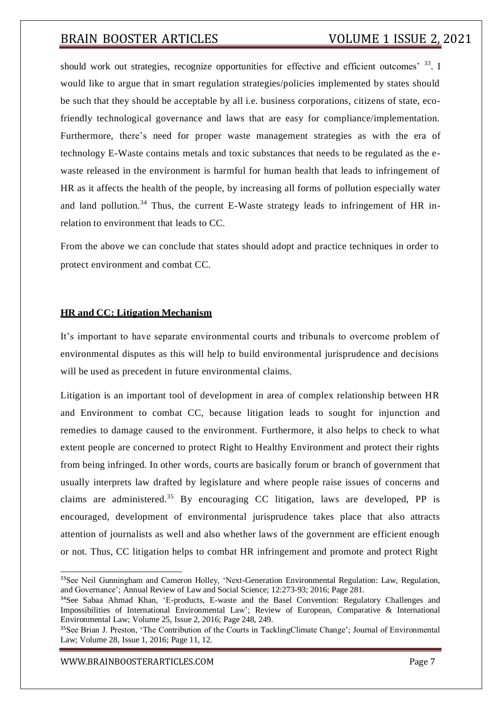should work out strategies, recognize opportunities for effective and efficient outcomes' 33. I would like to argue that in smart regulation strategies/policies implemented by states should be such that they should be acceptable by all i.e. business corporations, citizens of state, ecofriendly technological governance and laws that are easy for compliance/implementation. Furthermore, there's need for proper waste management strategies as with the era of technology E-Waste contains metals and toxic substances that needs to be regulated as the ewaste released in the environment is harmful for human health that leads to infringement of HR as it affects the health of the people, by increasing all forms of pollution especially water and land pollution.<sup>34</sup> Thus, the current E-Waste strategy leads to infringement of HR inrelation to environment that leads to CC.

From the above we can conclude that states should adopt and practice techniques in order to protect environment and combat CC.

### **HR and CC: Litigation Mechanism**

It's important to have separate environmental courts and tribunals to overcome problem of environmental disputes as this will help to build environmental jurisprudence and decisions will be used as precedent in future environmental claims.

Litigation is an important tool of development in area of complex relationship between HR and Environment to combat CC, because litigation leads to sought for injunction and remedies to damage caused to the environment. Furthermore, it also helps to check to what extent people are concerned to protect Right to Healthy Environment and protect their rights from being infringed. In other words, courts are basically forum or branch of government that usually interprets law drafted by legislature and where people raise issues of concerns and claims are administered.<sup>35</sup> By encouraging CC litigation, laws are developed, PP is encouraged, development of environmental jurisprudence takes place that also attracts attention of journalists as well and also whether laws of the government are efficient enough or not. Thus, CC litigation helps to combat HR infringement and promote and protect Right

<sup>&</sup>lt;sup>33</sup>See Neil Gunningham and Cameron Holley, 'Next-Generation Environmental Regulation: Law, Regulation, and Governance'; Annual Review of Law and Social Science; 12:273-93; 2016; Page 281.

<sup>34</sup>See Sabaa Ahmad Khan, 'E-products, E-waste and the Basel Convention: Regulatory Challenges and Impossibilities of International Environmental Law'; Review of European, Comparative & International Environmental Law; Volume 25, Issue 2, 2016; Page 248, 249.

<sup>&</sup>lt;sup>35</sup>See Brian J. Preston, 'The Contribution of the Courts in TacklingClimate Change'; Journal of Environmental Law; Volume 28, Issue 1, 2016; Page 11, 12.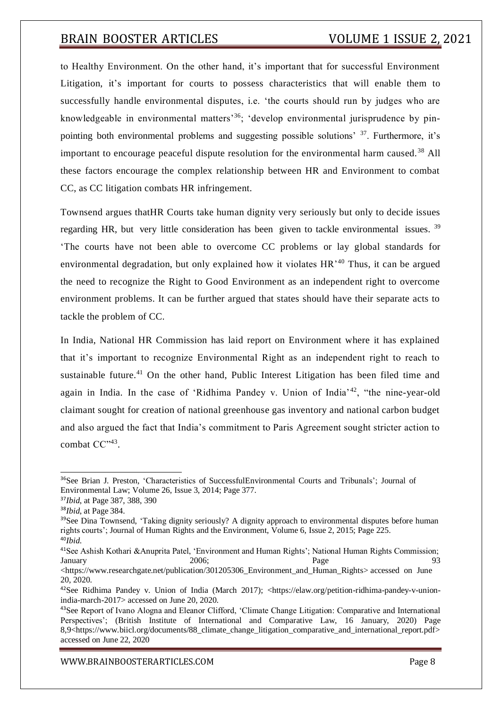to Healthy Environment. On the other hand, it's important that for successful Environment Litigation, it's important for courts to possess characteristics that will enable them to successfully handle environmental disputes, i.e. 'the courts should run by judges who are knowledgeable in environmental matters<sup>36</sup>; 'develop environmental jurisprudence by pinpointing both environmental problems and suggesting possible solutions' <sup>37</sup>. Furthermore, it's important to encourage peaceful dispute resolution for the environmental harm caused.<sup>38</sup> All these factors encourage the complex relationship between HR and Environment to combat CC, as CC litigation combats HR infringement.

Townsend argues thatHR Courts take human dignity very seriously but only to decide issues regarding HR, but very little consideration has been given to tackle environmental issues.<sup>39</sup> 'The courts have not been able to overcome CC problems or lay global standards for environmental degradation, but only explained how it violates HR<sup>'40</sup> Thus, it can be argued the need to recognize the Right to Good Environment as an independent right to overcome environment problems. It can be further argued that states should have their separate acts to tackle the problem of CC.

In India, National HR Commission has laid report on Environment where it has explained that it's important to recognize Environmental Right as an independent right to reach to sustainable future.<sup>41</sup> On the other hand, Public Interest Litigation has been filed time and again in India. In the case of 'Ridhima Pandey v. Union of India'<sup>42</sup>, "the nine-year-old claimant sought for creation of national greenhouse gas inventory and national carbon budget and also argued the fact that India's commitment to Paris Agreement sought stricter action to combat CC",43.

<sup>36</sup>See Brian J. Preston, 'Characteristics of SuccessfulEnvironmental Courts and Tribunals'; Journal of Environmental Law; Volume 26, Issue 3, 2014; Page 377.

<sup>37</sup>*Ibid*, at Page 387, 388, 390

<sup>38</sup>*Ibid*, at Page 384.

<sup>&</sup>lt;sup>39</sup>See Dina Townsend, 'Taking dignity seriously? A dignity approach to environmental disputes before human rights courts'; Journal of Human Rights and the Environment, Volume 6, Issue 2, 2015; Page 225.

<sup>40</sup>*Ibid*.

<sup>41</sup>See Ashish Kothari &Anuprita Patel, 'Environment and Human Rights'; National Human Rights Commission; January 2006; Page 93

<sup>&</sup>lt;https:/[/www.researchgate.net/publication/301205306\\_Environment\\_and\\_Human\\_Rights>](http://www.researchgate.net/publication/301205306_Environment_and_Human_Rights) accessed on June 20, 2020.

<sup>&</sup>lt;sup>42</sup>See Ridhima Pandey v. Union of India (March 2017); <https://elaw.org/petition-ridhima-pandey-v-unionindia-march-2017> accessed on June 20, 2020.

<sup>43</sup>See Report of Ivano Alogna and Eleanor Clifford, 'Climate Change Litigation: Comparative and International Perspectives'; (British Institute of International and Comparative Law, 16 January, 2020) Page 8,9<https:/[/www.biicl.org/documents/88\\_climate\\_change\\_litigation\\_comparative\\_and\\_international\\_report.pdf>](http://www.biicl.org/documents/88_climate_change_litigation_comparative_and_international_report.pdf) accessed on June 22, 2020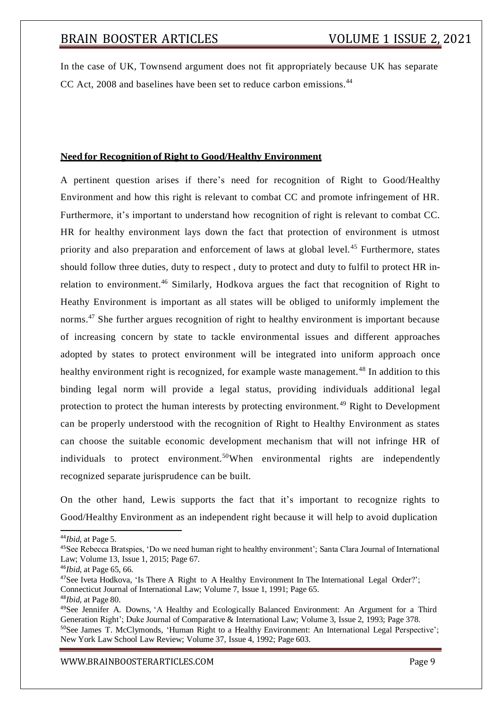In the case of UK, Townsend argument does not fit appropriately because UK has separate CC Act, 2008 and baselines have been set to reduce carbon emissions.<sup>44</sup>

### **Need for Recognition of Right to Good/Healthy Environment**

A pertinent question arises if there's need for recognition of Right to Good/Healthy Environment and how this right is relevant to combat CC and promote infringement of HR. Furthermore, it's important to understand how recognition of right is relevant to combat CC. HR for healthy environment lays down the fact that protection of environment is utmost priority and also preparation and enforcement of laws at global level.<sup>45</sup> Furthermore, states should follow three duties, duty to respect , duty to protect and duty to fulfil to protect HR inrelation to environment.<sup>46</sup> Similarly, Hodkova argues the fact that recognition of Right to Heathy Environment is important as all states will be obliged to uniformly implement the norms.<sup>47</sup> She further argues recognition of right to healthy environment is important because of increasing concern by state to tackle environmental issues and different approaches adopted by states to protect environment will be integrated into uniform approach once healthy environment right is recognized, for example waste management.<sup>48</sup> In addition to this binding legal norm will provide a legal status, providing individuals additional legal protection to protect the human interests by protecting environment. <sup>49</sup> Right to Development can be properly understood with the recognition of Right to Healthy Environment as states can choose the suitable economic development mechanism that will not infringe HR of individuals to protect environment.<sup>50</sup>When environmental rights are independently recognized separate jurisprudence can be built.

On the other hand, Lewis supports the fact that it's important to recognize rights to Good/Healthy Environment as an independent right because it will help to avoid duplication

<sup>44</sup>*Ibid*, at Page 5.

<sup>48</sup>*Ibid*, at Page 80.

[WWW.BRAINBOOSTERARTICLES.COM](http://www.brainboosterarticles.com/) enterprise and the state of the page 9

<sup>45</sup>See Rebecca Bratspies, 'Do we need human right to healthy environment'; Santa Clara Journal of International Law; Volume 13, Issue 1, 2015; Page 67.

<sup>46</sup>*Ibid*, at Page 65, 66.

<sup>&</sup>lt;sup>47</sup>See Iveta Hodkova, 'Is There A Right to A Healthy Environment In The International Legal Order?'; Connecticut Journal of International Law; Volume 7, Issue 1, 1991; Page 65.

<sup>49</sup>See Jennifer A. Downs, 'A Healthy and Ecologically Balanced Environment: An Argument for a Third Generation Right'; Duke Journal of Comparative & International Law; Volume 3, Issue 2, 1993; Page 378. <sup>50</sup>See James T. McClymonds, 'Human Right to a Healthy Environment: An International Legal Perspective'; New York Law School Law Review; Volume 37, Issue 4, 1992; Page 603.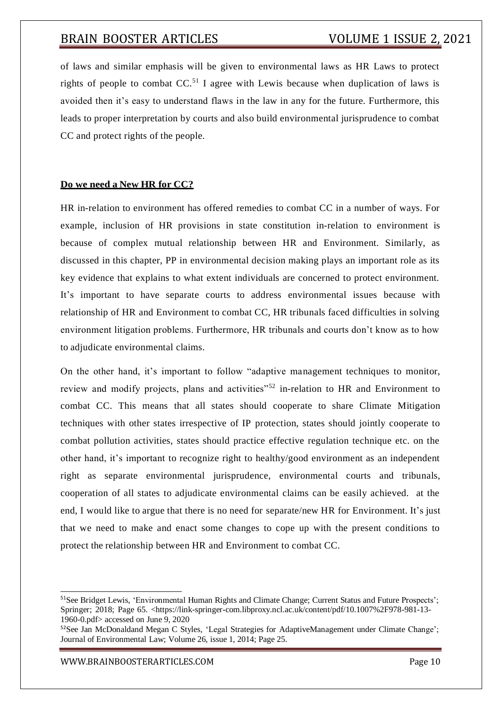of laws and similar emphasis will be given to environmental laws as HR Laws to protect rights of people to combat  $CC<sup>51</sup>$  I agree with Lewis because when duplication of laws is avoided then it's easy to understand flaws in the law in any for the future. Furthermore, this leads to proper interpretation by courts and also build environmental jurisprudence to combat CC and protect rights of the people.

### **Do we need a New HR for CC?**

HR in-relation to environment has offered remedies to combat CC in a number of ways. For example, inclusion of HR provisions in state constitution in-relation to environment is because of complex mutual relationship between HR and Environment. Similarly, as discussed in this chapter, PP in environmental decision making plays an important role as its key evidence that explains to what extent individuals are concerned to protect environment. It's important to have separate courts to address environmental issues because with relationship of HR and Environment to combat CC, HR tribunals faced difficulties in solving environment litigation problems. Furthermore, HR tribunals and courts don't know as to how to adjudicate environmental claims.

On the other hand, it's important to follow "adaptive management techniques to monitor, review and modify projects, plans and activities<sup>"52</sup> in-relation to HR and Environment to combat CC. This means that all states should cooperate to share Climate Mitigation techniques with other states irrespective of IP protection, states should jointly cooperate to combat pollution activities, states should practice effective regulation technique etc. on the other hand, it's important to recognize right to healthy/good environment as an independent right as separate environmental jurisprudence, environmental courts and tribunals, cooperation of all states to adjudicate environmental claims can be easily achieved. at the end, I would like to argue that there is no need for separate/new HR for Environment. It's just that we need to make and enact some changes to cope up with the present conditions to protect the relationship between HR and Environment to combat CC.

<sup>51</sup>See Bridget Lewis, 'Environmental Human Rights and Climate Change; Current Status and Future Prospects'; Springer; 2018; Page 65. <https://link-springer-com.libproxy.ncl.ac.uk/content/pdf/10.1007%2F978-981-13- 1960-0.pdf> accessed on June 9, 2020

<sup>&</sup>lt;sup>52</sup>See Jan McDonaldand Megan C Styles, 'Legal Strategies for AdaptiveManagement under Climate Change'; Journal of Environmental Law; Volume 26, issue 1, 2014; Page 25.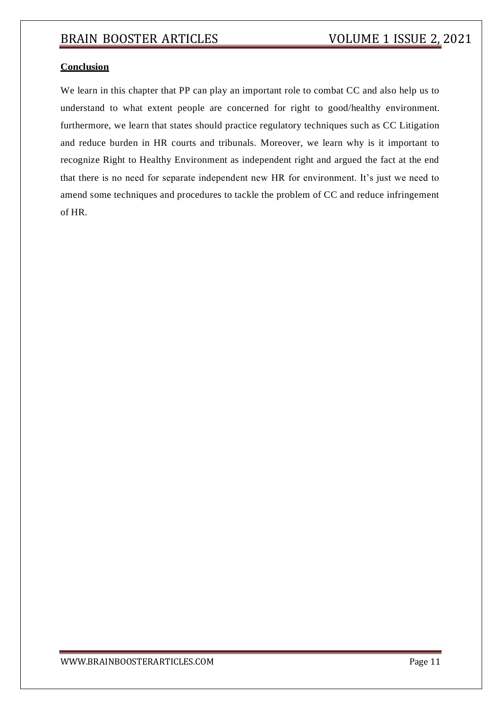### **Conclusion**

We learn in this chapter that PP can play an important role to combat CC and also help us to understand to what extent people are concerned for right to good/healthy environment. furthermore, we learn that states should practice regulatory techniques such as CC Litigation and reduce burden in HR courts and tribunals. Moreover, we learn why is it important to recognize Right to Healthy Environment as independent right and argued the fact at the end that there is no need for separate independent new HR for environment. It's just we need to amend some techniques and procedures to tackle the problem of CC and reduce infringement of HR.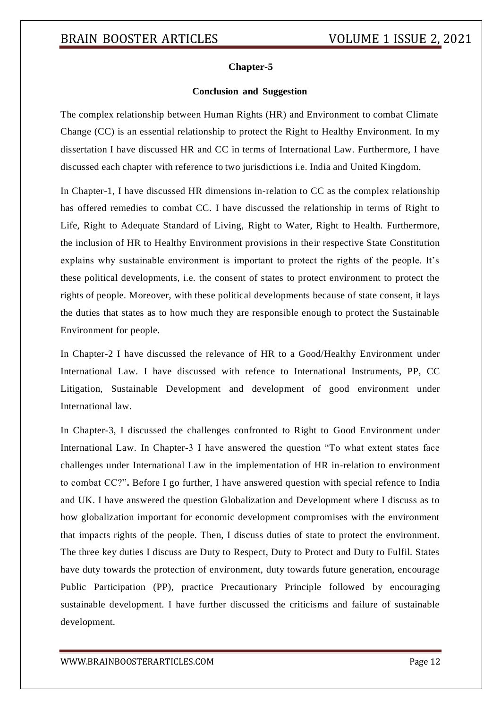### **Chapter-5**

### **Conclusion and Suggestion**

The complex relationship between Human Rights (HR) and Environment to combat Climate Change (CC) is an essential relationship to protect the Right to Healthy Environment. In my dissertation I have discussed HR and CC in terms of International Law. Furthermore, I have discussed each chapter with reference to two jurisdictions i.e. India and United Kingdom.

In Chapter-1, I have discussed HR dimensions in-relation to CC as the complex relationship has offered remedies to combat CC. I have discussed the relationship in terms of Right to Life, Right to Adequate Standard of Living, Right to Water, Right to Health. Furthermore, the inclusion of HR to Healthy Environment provisions in their respective State Constitution explains why sustainable environment is important to protect the rights of the people. It's these political developments, i.e. the consent of states to protect environment to protect the rights of people. Moreover, with these political developments because of state consent, it lays the duties that states as to how much they are responsible enough to protect the Sustainable Environment for people.

In Chapter-2 I have discussed the relevance of HR to a Good/Healthy Environment under International Law. I have discussed with refence to International Instruments, PP, CC Litigation, Sustainable Development and development of good environment under International law.

In Chapter-3, I discussed the challenges confronted to Right to Good Environment under International Law. In Chapter-3 I have answered the question "To what extent states face challenges under International Law in the implementation of HR in-relation to environment to combat CC?"**.** Before I go further, I have answered question with special refence to India and UK. I have answered the question Globalization and Development where I discuss as to how globalization important for economic development compromises with the environment that impacts rights of the people. Then, I discuss duties of state to protect the environment. The three key duties I discuss are Duty to Respect, Duty to Protect and Duty to Fulfil. States have duty towards the protection of environment, duty towards future generation, encourage Public Participation (PP), practice Precautionary Principle followed by encouraging sustainable development. I have further discussed the criticisms and failure of sustainable development.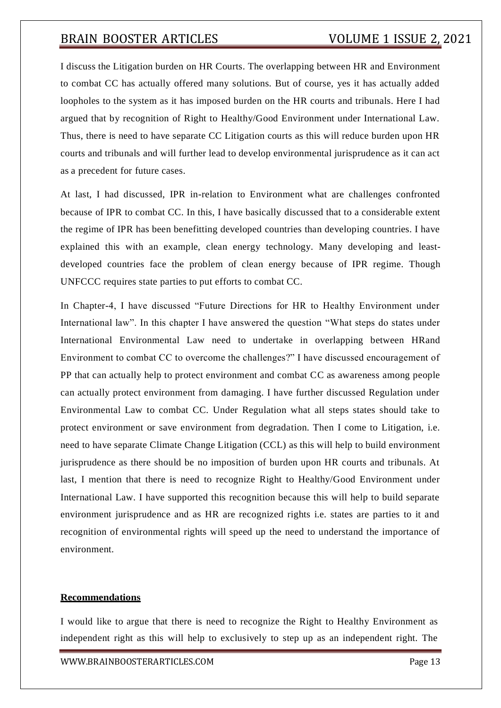I discuss the Litigation burden on HR Courts. The overlapping between HR and Environment to combat CC has actually offered many solutions. But of course, yes it has actually added loopholes to the system as it has imposed burden on the HR courts and tribunals. Here I had argued that by recognition of Right to Healthy/Good Environment under International Law. Thus, there is need to have separate CC Litigation courts as this will reduce burden upon HR courts and tribunals and will further lead to develop environmental jurisprudence as it can act as a precedent for future cases.

At last, I had discussed, IPR in-relation to Environment what are challenges confronted because of IPR to combat CC. In this, I have basically discussed that to a considerable extent the regime of IPR has been benefitting developed countries than developing countries. I have explained this with an example, clean energy technology. Many developing and leastdeveloped countries face the problem of clean energy because of IPR regime. Though UNFCCC requires state parties to put efforts to combat CC.

In Chapter-4, I have discussed "Future Directions for HR to Healthy Environment under International law". In this chapter I have answered the question "What steps do states under International Environmental Law need to undertake in overlapping between HRand Environment to combat CC to overcome the challenges?" I have discussed encouragement of PP that can actually help to protect environment and combat CC as awareness among people can actually protect environment from damaging. I have further discussed Regulation under Environmental Law to combat CC. Under Regulation what all steps states should take to protect environment or save environment from degradation. Then I come to Litigation, i.e. need to have separate Climate Change Litigation (CCL) as this will help to build environment jurisprudence as there should be no imposition of burden upon HR courts and tribunals. At last, I mention that there is need to recognize Right to Healthy/Good Environment under International Law. I have supported this recognition because this will help to build separate environment jurisprudence and as HR are recognized rights i.e. states are parties to it and recognition of environmental rights will speed up the need to understand the importance of environment.

### **Recommendations**

I would like to argue that there is need to recognize the Right to Healthy Environment as independent right as this will help to exclusively to step up as an independent right. The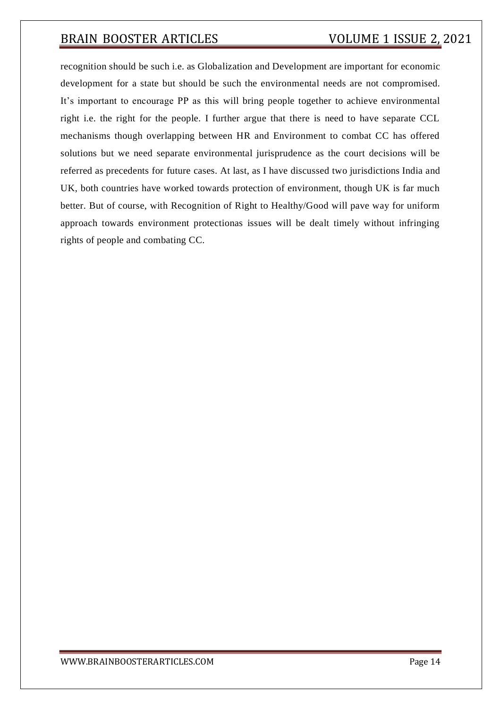recognition should be such i.e. as Globalization and Development are important for economic development for a state but should be such the environmental needs are not compromised. It's important to encourage PP as this will bring people together to achieve environmental right i.e. the right for the people. I further argue that there is need to have separate CCL mechanisms though overlapping between HR and Environment to combat CC has offered solutions but we need separate environmental jurisprudence as the court decisions will be referred as precedents for future cases. At last, as I have discussed two jurisdictions India and UK, both countries have worked towards protection of environment, though UK is far much better. But of course, with Recognition of Right to Healthy/Good will pave way for uniform approach towards environment protectionas issues will be dealt timely without infringing rights of people and combating CC.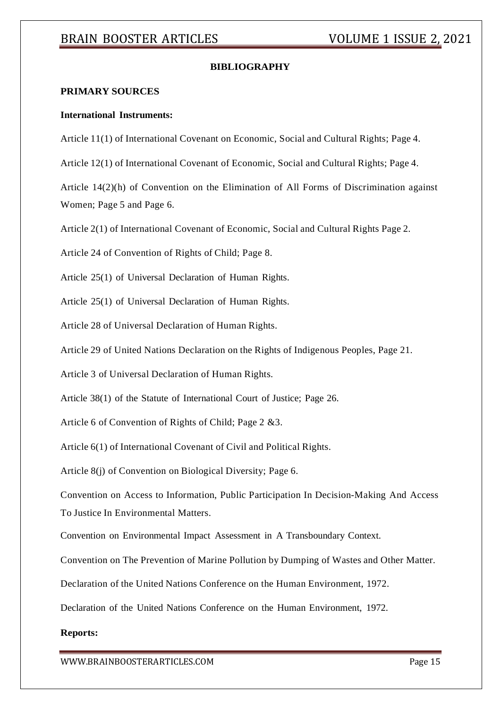### **BIBLIOGRAPHY**

### **PRIMARY SOURCES**

#### **International Instruments:**

Article 11(1) of International Covenant on Economic, Social and Cultural Rights; Page 4.

Article 12(1) of International Covenant of Economic, Social and Cultural Rights; Page 4.

Article 14(2)(h) of Convention on the Elimination of All Forms of Discrimination against Women; Page 5 and Page 6.

Article 2(1) of International Covenant of Economic, Social and Cultural Rights Page 2.

Article 24 of Convention of Rights of Child; Page 8.

Article 25(1) of Universal Declaration of Human Rights.

Article 25(1) of Universal Declaration of Human Rights.

Article 28 of Universal Declaration of Human Rights.

Article 29 of United Nations Declaration on the Rights of Indigenous Peoples, Page 21.

Article 3 of Universal Declaration of Human Rights.

Article 38(1) of the Statute of International Court of Justice; Page 26.

Article 6 of Convention of Rights of Child; Page 2 &3.

Article 6(1) of International Covenant of Civil and Political Rights.

Article 8(j) of Convention on Biological Diversity; Page 6.

Convention on Access to Information, Public Participation In Decision-Making And Access To Justice In Environmental Matters.

Convention on Environmental Impact Assessment in A Transboundary Context.

Convention on The Prevention of Marine Pollution by Dumping of Wastes and Other Matter.

Declaration of the United Nations Conference on the Human Environment, 1972.

Declaration of the United Nations Conference on the Human Environment, 1972.

#### **Reports:**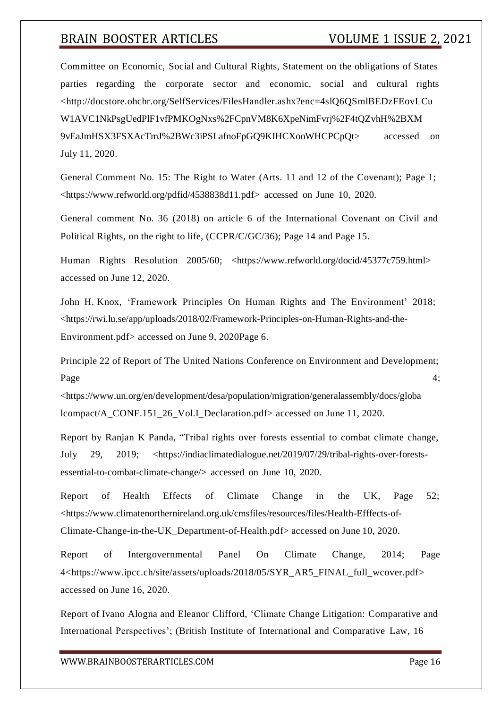Committee on Economic, Social and Cultural Rights, Statement on the obligations of States parties regarding the corporate sector and economic, social and cultural rights [<http://docstore.ohchr.org/SelfServices/FilesHandler.ashx?enc=4slQ6QSmlBEDzFEovLCu](http://docstore.ohchr.org/SelfServices/FilesHandler.ashx?enc=4slQ6QSmlBEDzFEovLCu) W1AVC1NkPsgUedPlF1vfPMKOgNxs%2FCpnVM8K6XpeNimFvrj%2F4tQZvhH%2BXM 9vEaJmHSX3FSXAcTmJ%2BWc3iPSLafnoFpGQ9KIHCXooWHCPCpQt> accessed on July 11, 2020.

General Comment No. 15: The Right to Water (Arts. 11 and 12 of the Covenant); Page 1; <https:/[/www.refworld.org/pdfid/4538838d11.pdf>](http://www.refworld.org/pdfid/4538838d11.pdf) accessed on June 10, 2020.

General comment No. 36 (2018) on article 6 of the International Covenant on Civil and Political Rights, on the right to life, (CCPR/C/GC/36); Page 14 and Page 15.

Human Rights Resolution 2005/60; <https:/[/www.refworld.org/docid/45377c759.html>](http://www.refworld.org/docid/45377c759.html) accessed on June 12, 2020.

John H. Knox, 'Framework Principles On Human Rights and The Environment' 2018; <https://rwi.lu.se/app/uploads/2018/02/Framework-Principles-on-Human-Rights-and-the-Environment.pdf> accessed on June 9, 2020Page 6.

Principle 22 of Report of The United Nations Conference on Environment and Development; Page  $4$ ;

<https:/[/www.un.org/en/development/desa/population/migration/generalassembly/docs/globa](http://www.un.org/en/development/desa/population/migration/generalassembly/docs/globa) lcompact/A\_CONF.151\_26\_Vol.I\_Declaration.pdf> accessed on June 11, 2020.

Report by Ranjan K Panda, "Tribal rights over forests essential to combat climate change, July 29, 2019; <https://indiaclimatedialogue.net/2019/07/29/tribal-rights-over-forestsessential-to-combat-climate-change/> accessed on June 10, 2020.

Report of Health Effects of Climate Change in the UK, Page 52; <https:/[/www.climatenorthernireland.org.uk/cmsfiles/resources/files/Health-Efffects-of-](http://www.climatenorthernireland.org.uk/cmsfiles/resources/files/Health-Efffects-of-)Climate-Change-in-the-UK\_Department-of-Health.pdf> accessed on June 10, 2020.

Report of Intergovernmental Panel On Climate Change, 2014; Page 4<https:/[/www.ipcc.ch/site/assets/uploads/2018/05/SYR\\_AR5\\_FINAL\\_full\\_wcover.pdf>](http://www.ipcc.ch/site/assets/uploads/2018/05/SYR_AR5_FINAL_full_wcover.pdf) accessed on June 16, 2020.

Report of Ivano Alogna and Eleanor Clifford, 'Climate Change Litigation: Comparative and International Perspectives'; (British Institute of International and Comparative Law, 16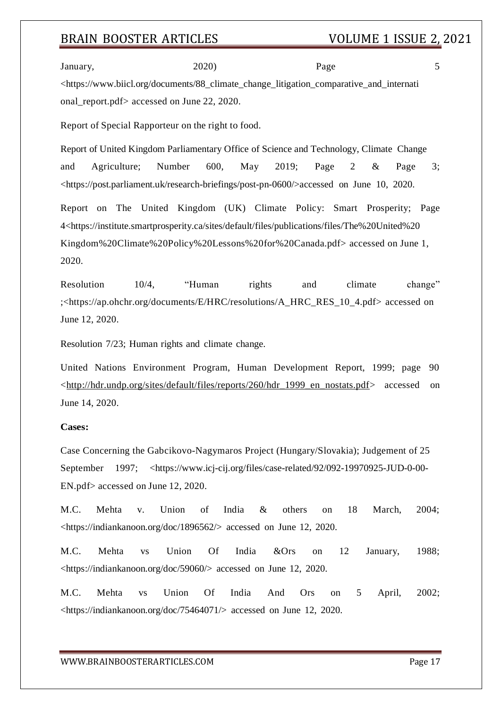January, 2020) Page 5 <https:/[/www.biicl.org/documents/88\\_climate\\_change\\_litigation\\_comparative\\_and\\_internati](http://www.biicl.org/documents/88_climate_change_litigation_comparative_and_internati) onal\_report.pdf> accessed on June 22, 2020.

Report of Special Rapporteur on the right to food.

Report of United Kingdom Parliamentary Office of Science and Technology, Climate Change and Agriculture; Number 600, May 2019; Page 2 & Page 3; <https://post.parliament.uk/research-briefings/post-pn-0600/>accessed on June 10, 2020.

Report on The United Kingdom (UK) Climate Policy: Smart Prosperity; Page 4<https://institute.smartprosperity.ca/sites/default/files/publications/files/The%20United%20 Kingdom%20Climate%20Policy%20Lessons%20for%20Canada.pdf> accessed on June 1, 2020.

Resolution 10/4, "Human rights and climate change" ;<https://ap.ohchr.org/documents/E/HRC/resolutions/A\_HRC\_RES\_10\_4.pdf> accessed on June 12, 2020.

Resolution 7/23; Human rights and climate change.

United Nations Environment Program, Human Development Report, 1999; page 90 [<http://hdr.undp.org/sites/default/files/reports/260/hdr\\_1999\\_en\\_nostats.pdf>](http://hdr.undp.org/sites/default/files/reports/260/hdr_1999_en_nostats.pdf) accessed on June 14, 2020.

### **Cases:**

Case Concerning the Gabcikovo-Nagymaros Project (Hungary/Slovakia); Judgement of 25 September 1997; <https:/[/www.icj-cij.org/files/case-related/92/092-19970925-JUD-0-00-](http://www.icj-cij.org/files/case-related/92/092-19970925-JUD-0-00-) EN.pdf> accessed on June 12, 2020.

M.C. Mehta v. Union of India & others on 18 March, 2004; <https://indiankanoon.org/doc/1896562/> accessed on June 12, 2020.

M.C. Mehta vs Union Of India &Ors on 12 January, 1988; <https://indiankanoon.org/doc/59060/> accessed on June 12, 2020.

M.C. Mehta vs Union Of India And Ors on 5 April, 2002; <https://indiankanoon.org/doc/75464071/> accessed on June 12, 2020.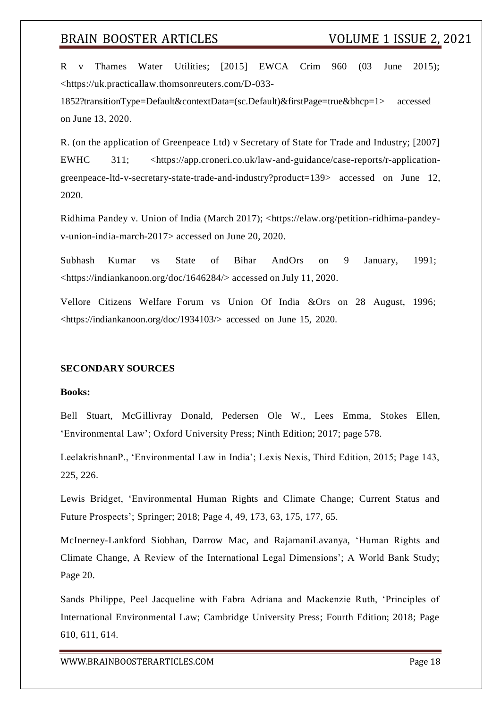R v Thames Water Utilities; [2015] EWCA Crim 960 (03 June 2015); <https://uk.practicallaw.thomsonreuters.com/D-033-

1852?transitionType=Default&contextData=(sc.Default)&firstPage=true&bhcp=1> accessed on June 13, 2020.

R. (on the application of Greenpeace Ltd) v Secretary of State for Trade and Industry; [2007] EWHC 311; <https://app.croneri.co.uk/law-and-guidance/case-reports/r-applicationgreenpeace-ltd-v-secretary-state-trade-and-industry?product=139> accessed on June 12, 2020.

Ridhima Pandey v. Union of India (March 2017); <https://elaw.org/petition-ridhima-pandeyv-union-india-march-2017> accessed on June 20, 2020.

Subhash Kumar vs State of Bihar AndOrs on 9 January, 1991; <https://indiankanoon.org/doc/1646284/> accessed on July 11, 2020.

Vellore Citizens Welfare Forum vs Union Of India &Ors on 28 August, 1996; <https://indiankanoon.org/doc/1934103/> accessed on June 15, 2020.

#### **SECONDARY SOURCES**

#### **Books:**

Bell Stuart, McGillivray Donald, Pedersen Ole W., Lees Emma, Stokes Ellen, 'Environmental Law'; Oxford University Press; Ninth Edition; 2017; page 578.

LeelakrishnanP., 'Environmental Law in India'; Lexis Nexis, Third Edition, 2015; Page 143, 225, 226.

Lewis Bridget, 'Environmental Human Rights and Climate Change; Current Status and Future Prospects'; Springer; 2018; Page 4, 49, 173, 63, 175, 177, 65.

McInerney-Lankford Siobhan, Darrow Mac, and RajamaniLavanya, 'Human Rights and Climate Change, A Review of the International Legal Dimensions'; A World Bank Study; Page 20.

Sands Philippe, Peel Jacqueline with Fabra Adriana and Mackenzie Ruth, 'Principles of International Environmental Law; Cambridge University Press; Fourth Edition; 2018; Page 610, 611, 614.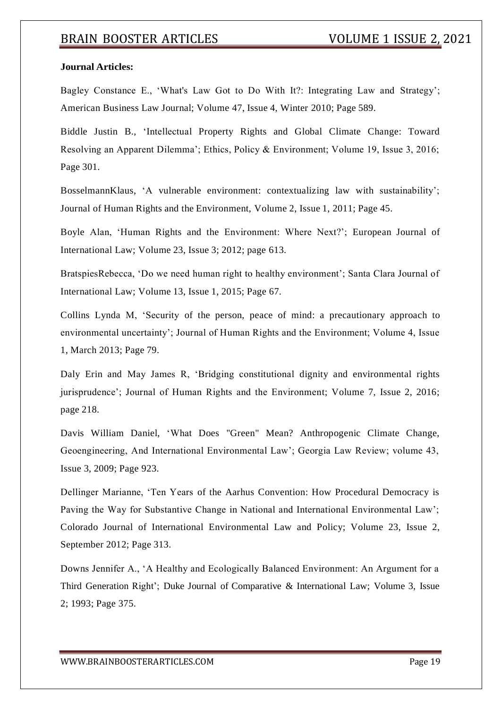### **Journal Articles:**

Bagley Constance E., 'What's Law Got to Do With It?: Integrating Law and Strategy'; American Business Law Journal; Volume 47, Issue 4, Winter 2010; Page 589.

Biddle Justin B., 'Intellectual Property Rights and Global Climate Change: Toward Resolving an Apparent Dilemma'; Ethics, Policy & Environment; Volume 19, Issue 3, 2016; Page 301.

BosselmannKlaus, 'A vulnerable environment: contextualizing law with sustainability'; Journal of Human Rights and the Environment, Volume 2, Issue 1, 2011; Page 45.

Boyle Alan, 'Human Rights and the Environment: Where Next?'; European Journal of International Law; Volume 23, Issue 3; 2012; page 613.

BratspiesRebecca, 'Do we need human right to healthy environment'; Santa Clara Journal of International Law; Volume 13, Issue 1, 2015; Page 67.

Collins Lynda M, 'Security of the person, peace of mind: a precautionary approach to environmental uncertainty'; Journal of Human Rights and the Environment; Volume 4, Issue 1, March 2013; Page 79.

Daly Erin and May James R, 'Bridging constitutional dignity and environmental rights jurisprudence'; Journal of Human Rights and the Environment; Volume 7, Issue 2, 2016; page 218.

Davis William Daniel, 'What Does "Green" Mean? Anthropogenic Climate Change, Geoengineering, And International Environmental Law'; Georgia Law Review; volume 43, Issue 3, 2009; Page 923.

Dellinger Marianne, 'Ten Years of the Aarhus Convention: How Procedural Democracy is Paving the Way for Substantive Change in National and International Environmental Law'; Colorado Journal of International Environmental Law and Policy; Volume 23, Issue 2, September 2012; Page 313.

Downs Jennifer A., 'A Healthy and Ecologically Balanced Environment: An Argument for a Third Generation Right'; Duke Journal of Comparative & International Law; Volume 3, Issue 2; 1993; Page 375.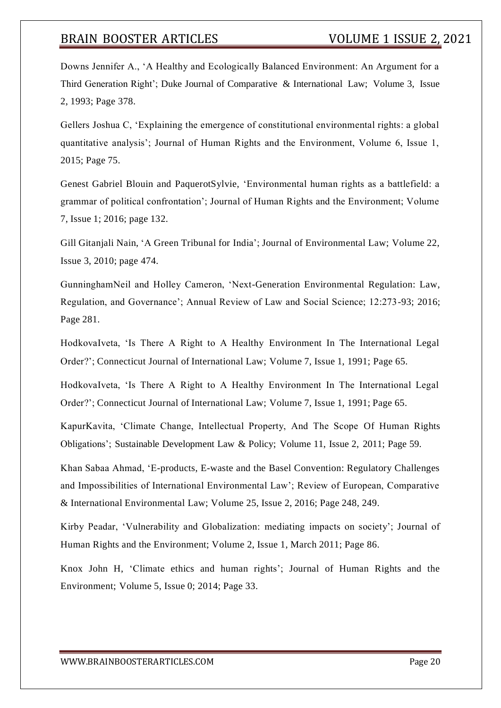Downs Jennifer A., 'A Healthy and Ecologically Balanced Environment: An Argument for a Third Generation Right'; Duke Journal of Comparative & International Law; Volume 3, Issue 2, 1993; Page 378.

Gellers Joshua C, 'Explaining the emergence of constitutional environmental rights: a global quantitative analysis'; Journal of Human Rights and the Environment, Volume 6, Issue 1, 2015; Page 75.

Genest Gabriel Blouin and PaquerotSylvie, 'Environmental human rights as a battlefield: a grammar of political confrontation'; Journal of Human Rights and the Environment; Volume 7, Issue 1; 2016; page 132.

Gill Gitanjali Nain, 'A Green Tribunal for India'; Journal of Environmental Law; Volume 22, Issue 3, 2010; page 474.

GunninghamNeil and Holley Cameron, 'Next-Generation Environmental Regulation: Law, Regulation, and Governance'; Annual Review of Law and Social Science; 12:273-93; 2016; Page 281.

HodkovaIveta, 'Is There A Right to A Healthy Environment In The International Legal Order?'; Connecticut Journal of International Law; Volume 7, Issue 1, 1991; Page 65.

HodkovaIveta, 'Is There A Right to A Healthy Environment In The International Legal Order?'; Connecticut Journal of International Law; Volume 7, Issue 1, 1991; Page 65.

KapurKavita, 'Climate Change, Intellectual Property, And The Scope Of Human Rights Obligations'; Sustainable Development Law & Policy; Volume 11, Issue 2, 2011; Page 59.

Khan Sabaa Ahmad, 'E-products, E-waste and the Basel Convention: Regulatory Challenges and Impossibilities of International Environmental Law'; Review of European, Comparative & International Environmental Law; Volume 25, Issue 2, 2016; Page 248, 249.

Kirby Peadar, 'Vulnerability and Globalization: mediating impacts on society'; Journal of Human Rights and the Environment; Volume 2, Issue 1, March 2011; Page 86.

Knox John H, 'Climate ethics and human rights'; Journal of Human Rights and the Environment; Volume 5, Issue 0; 2014; Page 33.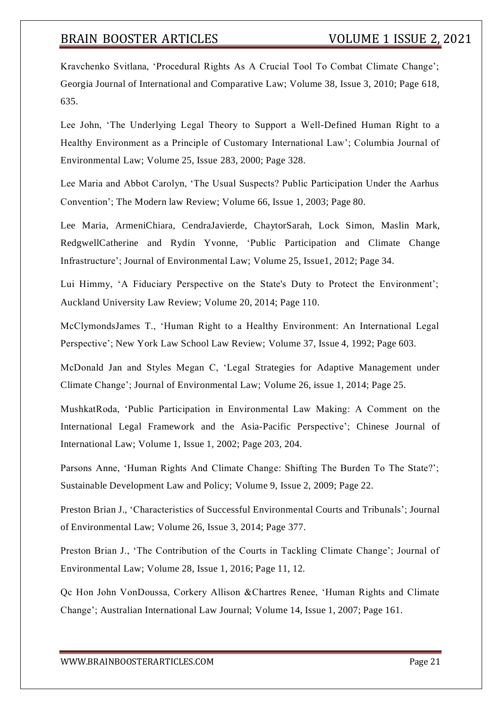Kravchenko Svitlana, 'Procedural Rights As A Crucial Tool To Combat Climate Change'; Georgia Journal of International and Comparative Law; Volume 38, Issue 3, 2010; Page 618, 635.

Lee John, 'The Underlying Legal Theory to Support a Well-Defined Human Right to a Healthy Environment as a Principle of Customary International Law'; Columbia Journal of Environmental Law; Volume 25, Issue 283, 2000; Page 328.

Lee Maria and Abbot Carolyn, 'The Usual Suspects? Public Participation Under the Aarhus Convention'; The Modern law Review; Volume 66, Issue 1, 2003; Page 80.

Lee Maria, ArmeniChiara, CendraJavierde, ChaytorSarah, Lock Simon, Maslin Mark, RedgwellCatherine and Rydin Yvonne, 'Public Participation and Climate Change Infrastructure'; Journal of Environmental Law; Volume 25, Issue1, 2012; Page 34.

Lui Himmy, 'A Fiduciary Perspective on the State's Duty to Protect the Environment'; Auckland University Law Review; Volume 20, 2014; Page 110.

McClymondsJames T., 'Human Right to a Healthy Environment: An International Legal Perspective'; New York Law School Law Review; Volume 37, Issue 4, 1992; Page 603.

McDonald Jan and Styles Megan C, 'Legal Strategies for Adaptive Management under Climate Change'; Journal of Environmental Law; Volume 26, issue 1, 2014; Page 25.

MushkatRoda, 'Public Participation in Environmental Law Making: A Comment on the International Legal Framework and the Asia-Pacific Perspective'; Chinese Journal of International Law; Volume 1, Issue 1, 2002; Page 203, 204.

Parsons Anne, 'Human Rights And Climate Change: Shifting The Burden To The State?'; Sustainable Development Law and Policy; Volume 9, Issue 2, 2009; Page 22.

Preston Brian J., 'Characteristics of Successful Environmental Courts and Tribunals'; Journal of Environmental Law; Volume 26, Issue 3, 2014; Page 377.

Preston Brian J., 'The Contribution of the Courts in Tackling Climate Change'; Journal of Environmental Law; Volume 28, Issue 1, 2016; Page 11, 12.

Qc Hon John VonDoussa, Corkery Allison &Chartres Renee, 'Human Rights and Climate Change'; Australian International Law Journal; Volume 14, Issue 1, 2007; Page 161.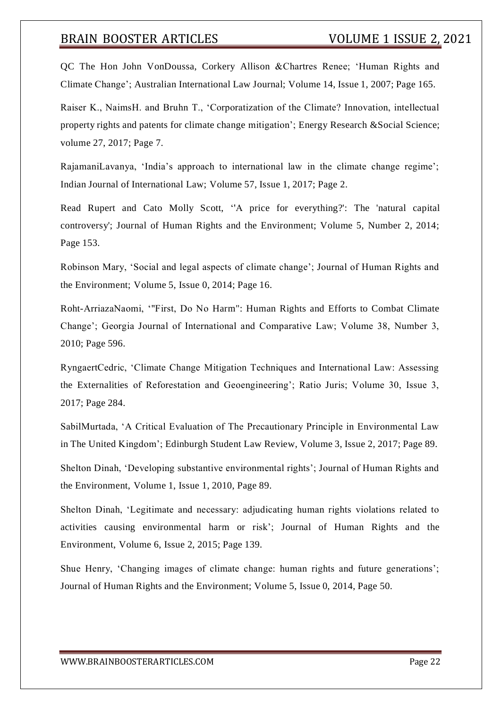QC The Hon John VonDoussa, Corkery Allison &Chartres Renee; 'Human Rights and Climate Change'; Australian International Law Journal; Volume 14, Issue 1, 2007; Page 165.

Raiser K., NaimsH. and Bruhn T., 'Corporatization of the Climate? Innovation, intellectual property rights and patents for climate change mitigation'; Energy Research &Social Science; volume 27, 2017; Page 7.

RajamaniLavanya, 'India's approach to international law in the climate change regime'; Indian Journal of International Law; Volume 57, Issue 1, 2017; Page 2.

Read Rupert and Cato Molly Scott, ''A price for everything?': The 'natural capital controversy'; Journal of Human Rights and the Environment; Volume 5, Number 2, 2014; Page 153.

Robinson Mary, 'Social and legal aspects of climate change'; Journal of Human Rights and the Environment; Volume 5, Issue 0, 2014; Page 16.

Roht-ArriazaNaomi, '"First, Do No Harm": Human Rights and Efforts to Combat Climate Change'; Georgia Journal of International and Comparative Law; Volume 38, Number 3, 2010; Page 596.

RyngaertCedric, 'Climate Change Mitigation Techniques and International Law: Assessing the Externalities of Reforestation and Geoengineering'; Ratio Juris; Volume 30, Issue 3, 2017; Page 284.

SabilMurtada, 'A Critical Evaluation of The Precautionary Principle in Environmental Law in The United Kingdom'; Edinburgh Student Law Review, Volume 3, Issue 2, 2017; Page 89.

Shelton Dinah, 'Developing substantive environmental rights'; Journal of Human Rights and the Environment, Volume 1, Issue 1, 2010, Page 89.

Shelton Dinah, 'Legitimate and necessary: adjudicating human rights violations related to activities causing environmental harm or risk'; Journal of Human Rights and the Environment, Volume 6, Issue 2, 2015; Page 139.

Shue Henry, 'Changing images of climate change: human rights and future generations'; Journal of Human Rights and the Environment; Volume 5, Issue 0, 2014, Page 50.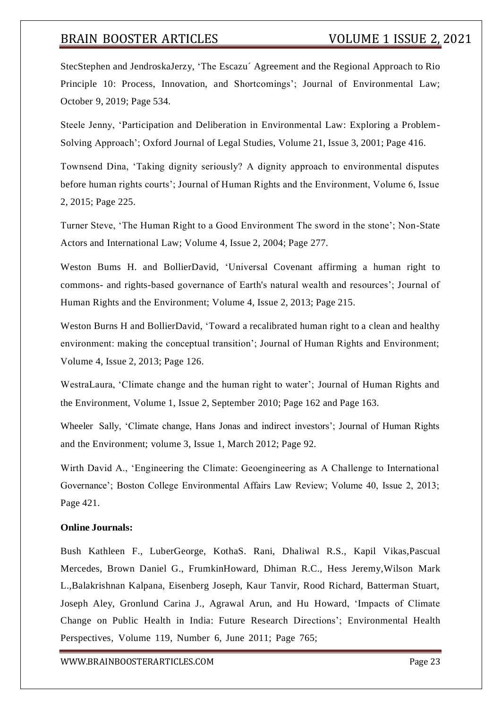StecStephen and JendroskaJerzy, 'The Escazu´ Agreement and the Regional Approach to Rio Principle 10: Process, Innovation, and Shortcomings'; Journal of Environmental Law; October 9, 2019; Page 534.

Steele Jenny, 'Participation and Deliberation in Environmental Law: Exploring a Problem-Solving Approach'; Oxford Journal of Legal Studies, Volume 21, Issue 3, 2001; Page 416.

Townsend Dina, 'Taking dignity seriously? A dignity approach to environmental disputes before human rights courts'; Journal of Human Rights and the Environment, Volume 6, Issue 2, 2015; Page 225.

Turner Steve, 'The Human Right to a Good Environment The sword in the stone'; Non-State Actors and International Law; Volume 4, Issue 2, 2004; Page 277.

Weston Bums H. and BollierDavid, 'Universal Covenant affirming a human right to commons- and rights-based governance of Earth's natural wealth and resources'; Journal of Human Rights and the Environment; Volume 4, Issue 2, 2013; Page 215.

Weston Burns H and BollierDavid, 'Toward a recalibrated human right to a clean and healthy environment: making the conceptual transition'; Journal of Human Rights and Environment; Volume 4, Issue 2, 2013; Page 126.

WestraLaura, 'Climate change and the human right to water'; Journal of Human Rights and the Environment, Volume 1, Issue 2, September 2010; Page 162 and Page 163.

Wheeler Sally, 'Climate change, Hans Jonas and indirect investors'; Journal of Human Rights and the Environment; volume 3, Issue 1, March 2012; Page 92.

Wirth David A., 'Engineering the Climate: Geoengineering as A Challenge to International Governance'; Boston College Environmental Affairs Law Review; Volume 40, Issue 2, 2013; Page 421.

### **Online Journals:**

Bush Kathleen F., LuberGeorge, KothaS. Rani, Dhaliwal R.S., Kapil Vikas,Pascual Mercedes, Brown Daniel G., FrumkinHoward, Dhiman R.C., Hess Jeremy,Wilson Mark L.,Balakrishnan Kalpana, Eisenberg Joseph, Kaur Tanvir, Rood Richard, Batterman Stuart, Joseph Aley, Gronlund Carina J., Agrawal Arun, and Hu Howard, 'Impacts of Climate Change on Public Health in India: Future Research Directions'; Environmental Health Perspectives, Volume 119, Number 6, June 2011; Page 765;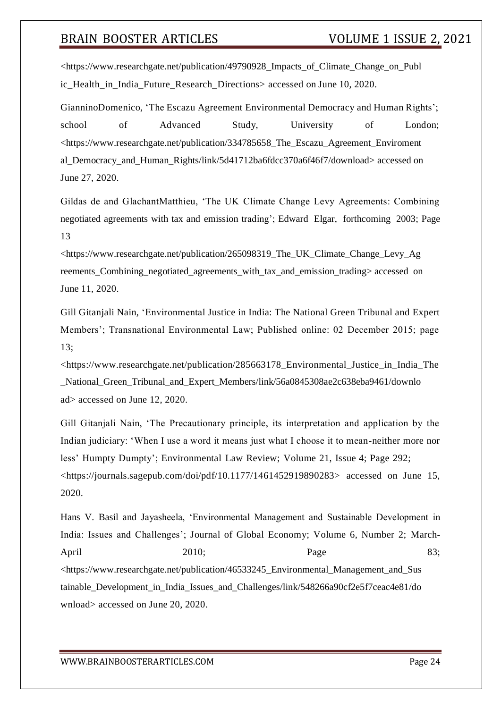<https:/[/www.researchgate.net/publication/49790928\\_Impacts\\_of\\_Climate\\_Change\\_on\\_Publ](http://www.researchgate.net/publication/49790928_Impacts_of_Climate_Change_on_Publ) ic\_Health\_in\_India\_Future\_Research\_Directions> accessed on June 10, 2020.

GianninoDomenico, 'The Escazu Agreement Environmental Democracy and Human Rights'; school of Advanced Study, University of London; <https:/[/www.researchgate.net/publication/334785658\\_The\\_Escazu\\_Agreement\\_Enviroment](http://www.researchgate.net/publication/334785658_The_Escazu_Agreement_Enviroment) al\_Democracy\_and\_Human\_Rights/link/5d41712ba6fdcc370a6f46f7/download> accessed on June 27, 2020.

Gildas de and GlachantMatthieu, 'The UK Climate Change Levy Agreements: Combining negotiated agreements with tax and emission trading'; Edward Elgar, forthcoming 2003; Page 13

<https:/[/www.researchgate.net/publication/265098319\\_The\\_UK\\_Climate\\_Change\\_Levy\\_Ag](http://www.researchgate.net/publication/265098319_The_UK_Climate_Change_Levy_Ag) reements Combining negotiated agreements with tax and emission trading> accessed on June 11, 2020.

Gill Gitanjali Nain, 'Environmental Justice in India: The National Green Tribunal and Expert Members'; Transnational Environmental Law; Published online: 02 December 2015; page 13;

<https:/[/www.researchgate.net/publication/285663178\\_Environmental\\_Justice\\_in\\_India\\_The](http://www.researchgate.net/publication/285663178_Environmental_Justice_in_India_The) \_National\_Green\_Tribunal\_and\_Expert\_Members/link/56a0845308ae2c638eba9461/downlo ad> accessed on June 12, 2020.

Gill Gitanjali Nain, 'The Precautionary principle, its interpretation and application by the Indian judiciary: 'When I use a word it means just what I choose it to mean-neither more nor less' Humpty Dumpty'; Environmental Law Review; Volume 21, Issue 4; Page 292; <https://journals.sagepub.com/doi/pdf/10.1177/1461452919890283> accessed on June 15, 2020.

Hans V. Basil and Jayasheela, 'Environmental Management and Sustainable Development in India: Issues and Challenges'; Journal of Global Economy; Volume 6, Number 2; March-April 2010; Page 83; <https:/[/www.researchgate.net/publication/46533245\\_Environmental\\_Manag](http://www.researchgate.net/publication/46533245_Environmental_Mana)ement\_and\_Sus tainable\_Development\_in\_India\_Issues\_and\_Challenges/link/548266a90cf2e5f7ceac4e81/do wnload> accessed on June 20, 2020.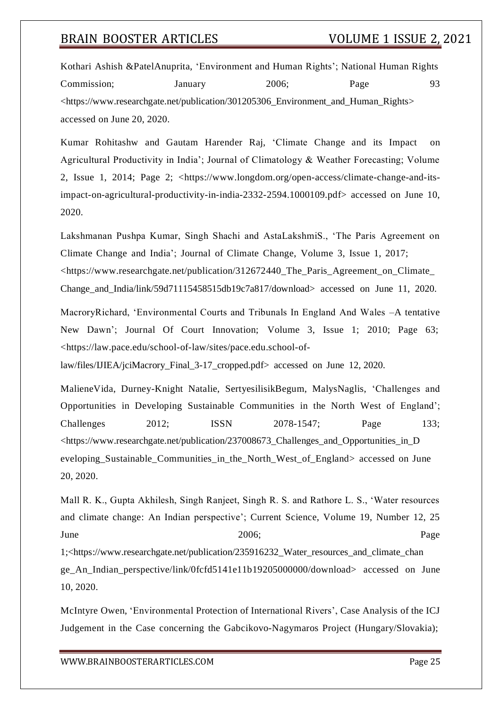Kothari Ashish &PatelAnuprita, 'Environment and Human Rights'; National Human Rights Commission; January 2006; Page 93 <https:/[/www.researchgate.net/publication/301205306\\_Environment\\_and\\_Human\\_Rights>](http://www.researchgate.net/publication/301205306_Environment_and_Human_Rights) accessed on June 20, 2020.

Kumar Rohitashw and Gautam Harender Raj, 'Climate Change and its Impact on Agricultural Productivity in India'; Journal of Climatology & Weather Forecasting; Volume 2, Issue 1, 2014; Page 2; <https:/[/www.longdom.org/open-access/climate-change-and-its](http://www.longdom.org/open-access/climate-change-and-its-)impact-on-agricultural-productivity-in-india-2332-2594.1000109.pdf> accessed on June 10, 2020.

Lakshmanan Pushpa Kumar, Singh Shachi and AstaLakshmiS., 'The Paris Agreement on Climate Change and India'; Journal of Climate Change, Volume 3, Issue 1, 2017; <https:/[/www.researchgate.net/publication/312672440\\_The\\_Paris\\_Agreement\\_on\\_Climate\\_](http://www.researchgate.net/publication/312672440_The_Paris_Agreement_on_Climate_) Change and India/link/59d71115458515db19c7a817/download> accessed on June 11, 2020.

MacroryRichard, 'Environmental Courts and Tribunals In England And Wales –A tentative New Dawn'; Journal Of Court Innovation; Volume 3, Issue 1; 2010; Page 63; <https://law.pace.edu/school-of-law/sites/pace.edu.school-of-

law/files/IJIEA/jciMacrory\_Final\_3-17\_cropped.pdf> accessed on June 12, 2020.

MalieneVida, Durney-Knight Natalie, SertyesilisikBegum, MalysNaglis, 'Challenges and Opportunities in Developing Sustainable Communities in the North West of England'; Challenges 2012; ISSN 2078-1547; Page 133; <https:/[/www.researchgate.net/publication/237008673\\_Challenges\\_and\\_Opportunities\\_in\\_D](http://www.researchgate.net/publication/237008673_Challenges_and_Opportunities_in_D) eveloping\_Sustainable\_Communities\_in\_the\_North\_West\_of\_England> accessed on June 20, 2020.

Mall R. K., Gupta Akhilesh, Singh Ranjeet, Singh R. S. and Rathore L. S., 'Water resources and climate change: An Indian perspective'; Current Science, Volume 19, Number 12, 25 June Page 1;<https:/[/www.researchgate.net/publication/235916232\\_Water\\_resources\\_and\\_climate\\_chan](http://www.researchgate.net/publication/235916232_Water_resources_and_climate_chan) ge\_An\_Indian\_perspective/link/0fcfd5141e11b19205000000/download> accessed on June 10, 2020.

McIntyre Owen, 'Environmental Protection of International Rivers', Case Analysis of the ICJ Judgement in the Case concerning the Gabcikovo-Nagymaros Project (Hungary/Slovakia);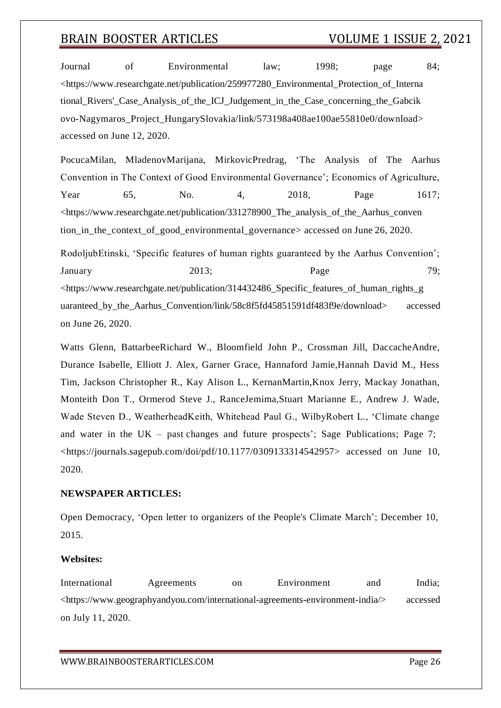Journal of Environmental law; 1998; page 84; <https:/[/www.researchgate.net/publication/259977280\\_Environmental\\_Protection\\_of\\_Interna](http://www.researchgate.net/publication/259977280_Environmental_Protection_of_Interna) tional Rivers' Case Analysis of the ICJ Judgement in the Case concerning the Gabcik ovo-Nagymaros\_Project\_HungarySlovakia/link/573198a408ae100ae55810e0/download> accessed on June 12, 2020.

PocucaMilan, MladenovMarijana, MirkovicPredrag, 'The Analysis of The Aarhus Convention in The Context of Good Environmental Governance'; Economics of Agriculture, Year 65, No. 4, 2018, Page 1617; <https:/[/www.researchgate.net/publication/331278900\\_The\\_analysis\\_of\\_the\\_Aarhus\\_conven](http://www.researchgate.net/publication/331278900_The_analysis_of_the_Aarhus_conven) tion in the context of good environmental governance> accessed on June 26, 2020.

RodoljubEtinski, 'Specific features of human rights guaranteed by the Aarhus Convention'; January 2013; Page 79; <https:/[/www.researchgate.net/publication/314432486\\_Specific\\_features\\_of\\_human\\_rights\\_g](http://www.researchgate.net/publication/314432486_Specific_features_of_human_rights_g) uaranteed by the Aarhus Convention/link/58c8f5fd45851591df483f9e/download> accessed on June 26, 2020.

Watts Glenn, BattarbeeRichard W., Bloomfield John P., Crossman Jill, DaccacheAndre, Durance Isabelle, Elliott J. Alex, Garner Grace, Hannaford Jamie,Hannah David M., Hess Tim, Jackson Christopher R., Kay Alison L., KernanMartin,Knox Jerry, Mackay Jonathan, Monteith Don T., Ormerod Steve J., RanceJemima,Stuart Marianne E., Andrew J. Wade, Wade Steven D., WeatherheadKeith, Whitehead Paul G., WilbyRobert L., 'Climate change and water in the UK – past changes and future prospects'; Sage Publications; Page 7; <https://journals.sagepub.com/doi/pdf/10.1177/0309133314542957> accessed on June 10, 2020.

#### **NEWSPAPER ARTICLES:**

Open Democracy, 'Open letter to organizers of the People's Climate March'; December 10, 2015.

#### **Websites:**

International Agreements on Environment and India; <https:/[/www.geographyandyou.com/international-agreements-environment-india/>](http://www.geographyandyou.com/international-agreements-environment-india/) accessed on July 11, 2020.